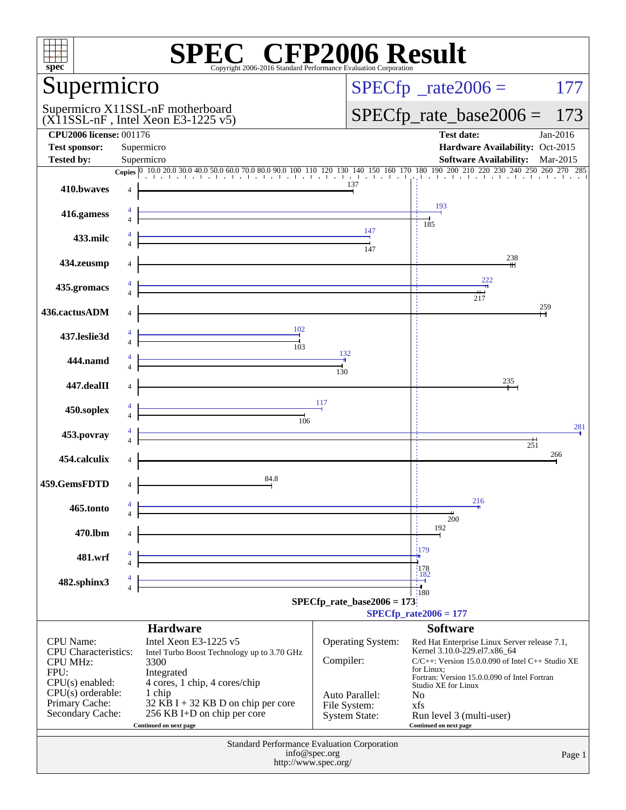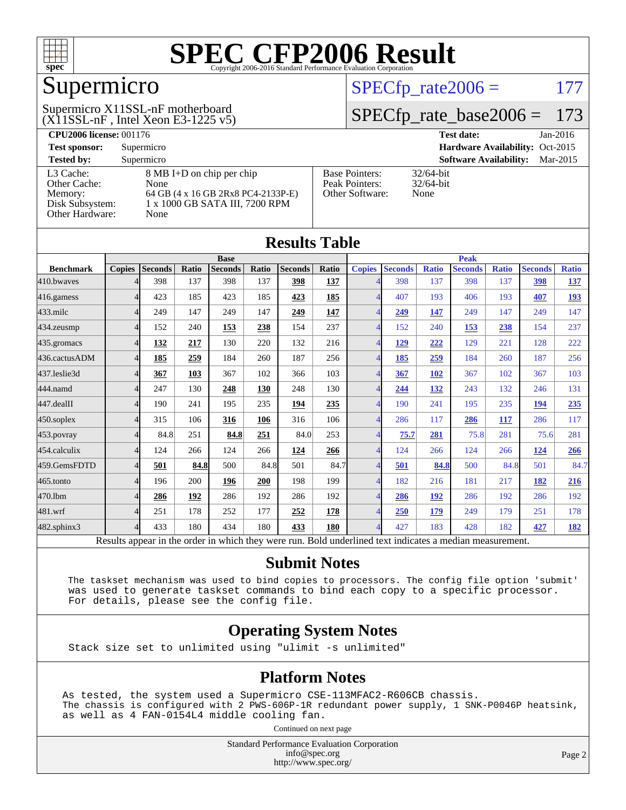

### Supermicro

 $(X11SSL-nF)$ , Intel Xeon E3-1225 v5) Supermicro X11SSL-nF motherboard

 $SPECTp_rate2006 = 177$ 

#### [SPECfp\\_rate\\_base2006 =](http://www.spec.org/auto/cpu2006/Docs/result-fields.html#SPECfpratebase2006) 173

| <b>CPU2006 license: 001176</b> |                                    |                                 | <b>Test date:</b><br>$Jan-2016$           |
|--------------------------------|------------------------------------|---------------------------------|-------------------------------------------|
| <b>Test sponsor:</b>           | Supermicro                         | Hardware Availability: Oct-2015 |                                           |
| <b>Tested by:</b>              | Supermicro                         |                                 | <b>Software Availability:</b><br>Mar-2015 |
| L3 Cache:                      | 8 MB I+D on chip per chip          | <b>Base Pointers:</b>           | $32/64$ -bit                              |
| Other Cache:                   | None                               | Peak Pointers:                  | $32/64$ -bit                              |
| Memory:                        | 64 GB (4 x 16 GB 2Rx8 PC4-2133P-E) | Other Software:                 | None                                      |
| Disk Subsystem:                | 1 x 1000 GB SATA III, 7200 RPM     |                                 |                                           |
| Other Hardware:                | None                               |                                 |                                           |

| <b>Results Table</b>                                                                                     |                |                |       |                |             |                |              |                          |                |              |                |              |                |              |
|----------------------------------------------------------------------------------------------------------|----------------|----------------|-------|----------------|-------------|----------------|--------------|--------------------------|----------------|--------------|----------------|--------------|----------------|--------------|
|                                                                                                          | <b>Base</b>    |                |       |                | <b>Peak</b> |                |              |                          |                |              |                |              |                |              |
| <b>Benchmark</b>                                                                                         | <b>Copies</b>  | <b>Seconds</b> | Ratio | <b>Seconds</b> | Ratio       | <b>Seconds</b> | <b>Ratio</b> | <b>Copies</b>            | <b>Seconds</b> | <b>Ratio</b> | <b>Seconds</b> | <b>Ratio</b> | <b>Seconds</b> | <b>Ratio</b> |
| 410.bwayes                                                                                               |                | 398            | 137   | 398            | 137         | 398            | 137          | 4                        | 398            | 137          | 398            | 137          | 398            | <u>137</u>   |
| 416.gamess                                                                                               | 4              | 423            | 185   | 423            | 185         | 423            | 185          | $\overline{4}$           | 407            | 193          | 406            | 193          | 407            | <u>193</u>   |
| 433.milc                                                                                                 | 4              | 249            | 147   | 249            | 147         | 249            | 147          | 4                        | 249            | 147          | 249            | 147          | 249            | 147          |
| 434.zeusmp                                                                                               | 4              | 152            | 240   | 153            | 238         | 154            | 237          | $\overline{\mathcal{A}}$ | 152            | 240          | 153            | 238          | 154            | 237          |
| 435.gromacs                                                                                              | 4              | 132            | 217   | 130            | 220         | 132            | 216          | $\overline{4}$           | 129            | 222          | 129            | 221          | 128            | 222          |
| 436.cactusADM                                                                                            | 4              | 185            | 259   | 184            | 260         | 187            | 256          | $\overline{4}$           | 185            | 259          | 184            | 260          | 187            | 256          |
| 437.leslie3d                                                                                             | Δ              | 367            | 103   | 367            | 102         | 366            | 103          | $\overline{\mathcal{A}}$ | 367            | <b>102</b>   | 367            | 102          | 367            | 103          |
| 444.namd                                                                                                 | $\Lambda$      | 247            | 130   | 248            | 130         | 248            | 130          | $\overline{\mathcal{A}}$ | 244            | 132          | 243            | 132          | 246            | 131          |
| 447.dealII                                                                                               | 4              | 190            | 241   | 195            | 235         | 194            | 235          | $\overline{4}$           | 190            | 241          | 195            | 235          | 194            | 235          |
| 450.soplex                                                                                               | 4              | 315            | 106   | 316            | 106         | 316            | 106          | $\overline{4}$           | 286            | 117          | 286            | 117          | 286            | 117          |
| 453.povray                                                                                               | 4              | 84.8           | 251   | 84.8           | 251         | 84.0           | 253          | $\overline{4}$           | 75.7           | 281          | 75.8           | 281          | 75.6           | 281          |
| 454.calculix                                                                                             | $\Delta$       | 124            | 266   | 124            | 266         | 124            | 266          | $\overline{4}$           | 124            | 266          | 124            | 266          | 124            | 266          |
| 459.GemsFDTD                                                                                             | 4              | 501            | 84.8  | 500            | 84.8        | 501            | 84.7         | $\overline{4}$           | 501            | 84.8         | 500            | 84.8         | 501            | 84.7         |
| 465.tonto                                                                                                | 4              | 196            | 200   | 196            | 200         | 198            | 199          | $\overline{\mathcal{A}}$ | 182            | 216          | 181            | 217          | 182            | 216          |
| 470.1bm                                                                                                  | 4              | 286            | 192   | 286            | 192         | 286            | 192          | $\overline{\mathcal{A}}$ | 286            | 192          | 286            | 192          | 286            | 192          |
| 481.wrf                                                                                                  | 4              | 251            | 178   | 252            | 177         | 252            | 178          | $\overline{4}$           | 250            | 179          | 249            | 179          | 251            | 178          |
| 482.sphinx3                                                                                              | $\overline{4}$ | 433            | 180   | 434            | 180         | 433            | 180          | $\overline{\mathcal{A}}$ | 427            | 183          | 428            | 182          | 427            | <u>182</u>   |
| Results appear in the order in which they were run. Bold underlined text indicates a median measurement. |                |                |       |                |             |                |              |                          |                |              |                |              |                |              |

#### **[Submit Notes](http://www.spec.org/auto/cpu2006/Docs/result-fields.html#SubmitNotes)**

 The taskset mechanism was used to bind copies to processors. The config file option 'submit' was used to generate taskset commands to bind each copy to a specific processor. For details, please see the config file.

#### **[Operating System Notes](http://www.spec.org/auto/cpu2006/Docs/result-fields.html#OperatingSystemNotes)**

Stack size set to unlimited using "ulimit -s unlimited"

#### **[Platform Notes](http://www.spec.org/auto/cpu2006/Docs/result-fields.html#PlatformNotes)**

As tested, the system used a Supermicro CSE-113MFAC2-R606CB chassis. The chassis is configured with 2 PWS-606P-1R redundant power supply, 1 SNK-P0046P heatsink, as well as 4 FAN-0154L4 middle cooling fan.

Continued on next page

Standard Performance Evaluation Corporation [info@spec.org](mailto:info@spec.org) <http://www.spec.org/>

Page 2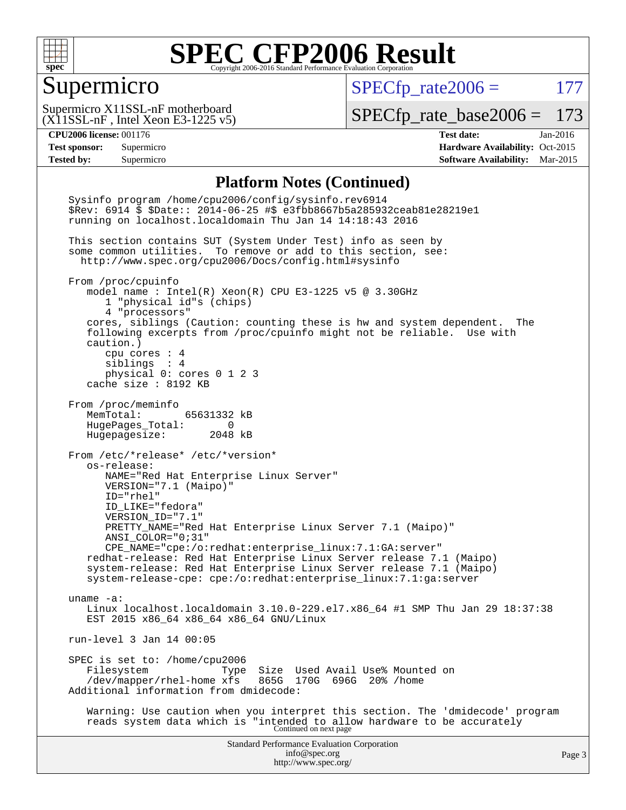

#### Supermicro

 $SPECTp_rate2006 = 177$ 

 $(X11SSL-nF,$  Intel Xeon E3-1225 v5) Supermicro X11SSL-nF motherboard

[SPECfp\\_rate\\_base2006 =](http://www.spec.org/auto/cpu2006/Docs/result-fields.html#SPECfpratebase2006) 173

**[CPU2006 license:](http://www.spec.org/auto/cpu2006/Docs/result-fields.html#CPU2006license)** 001176 **[Test date:](http://www.spec.org/auto/cpu2006/Docs/result-fields.html#Testdate)** Jan-2016 **[Test sponsor:](http://www.spec.org/auto/cpu2006/Docs/result-fields.html#Testsponsor)** Supermicro Supermicro **[Hardware Availability:](http://www.spec.org/auto/cpu2006/Docs/result-fields.html#HardwareAvailability)** Oct-2015 **[Tested by:](http://www.spec.org/auto/cpu2006/Docs/result-fields.html#Testedby)** Supermicro **[Software Availability:](http://www.spec.org/auto/cpu2006/Docs/result-fields.html#SoftwareAvailability)** Mar-2015

#### **[Platform Notes \(Continued\)](http://www.spec.org/auto/cpu2006/Docs/result-fields.html#PlatformNotes)**

Standard Performance Evaluation Corporation [info@spec.org](mailto:info@spec.org) <http://www.spec.org/> Page 3 Sysinfo program /home/cpu2006/config/sysinfo.rev6914 \$Rev: 6914 \$ \$Date:: 2014-06-25 #\$ e3fbb8667b5a285932ceab81e28219e1 running on localhost.localdomain Thu Jan 14 14:18:43 2016 This section contains SUT (System Under Test) info as seen by some common utilities. To remove or add to this section, see: <http://www.spec.org/cpu2006/Docs/config.html#sysinfo> From /proc/cpuinfo model name : Intel(R) Xeon(R) CPU E3-1225 v5 @ 3.30GHz 1 "physical id"s (chips) 4 "processors" cores, siblings (Caution: counting these is hw and system dependent. The following excerpts from /proc/cpuinfo might not be reliable. Use with caution.) cpu cores : 4 siblings : 4 physical 0: cores 0 1 2 3 cache size : 8192 KB From /proc/meminfo MemTotal: 65631332 kB HugePages\_Total: 0 Hugepagesize: 2048 kB From /etc/\*release\* /etc/\*version\* os-release: NAME="Red Hat Enterprise Linux Server" VERSION="7.1 (Maipo)" ID="rhel" ID\_LIKE="fedora" VERSION\_ID="7.1" PRETTY\_NAME="Red Hat Enterprise Linux Server 7.1 (Maipo)" ANSI\_COLOR="0;31" CPE\_NAME="cpe:/o:redhat:enterprise\_linux:7.1:GA:server" redhat-release: Red Hat Enterprise Linux Server release 7.1 (Maipo) system-release: Red Hat Enterprise Linux Server release 7.1 (Maipo) system-release-cpe: cpe:/o:redhat:enterprise\_linux:7.1:ga:server uname -a: Linux localhost.localdomain 3.10.0-229.el7.x86\_64 #1 SMP Thu Jan 29 18:37:38 EST 2015 x86\_64 x86\_64 x86\_64 GNU/Linux run-level 3 Jan 14 00:05 SPEC is set to: /home/cpu2006<br>Filesystem Type Type Size Used Avail Use% Mounted on<br>xfs 865G 170G 696G 20% /home  $/$ dev/mapper/rhel-home  $x$ fs Additional information from dmidecode: Warning: Use caution when you interpret this section. The 'dmidecode' program reads system data which is "intended to allow hardware to be accurately Continued on next page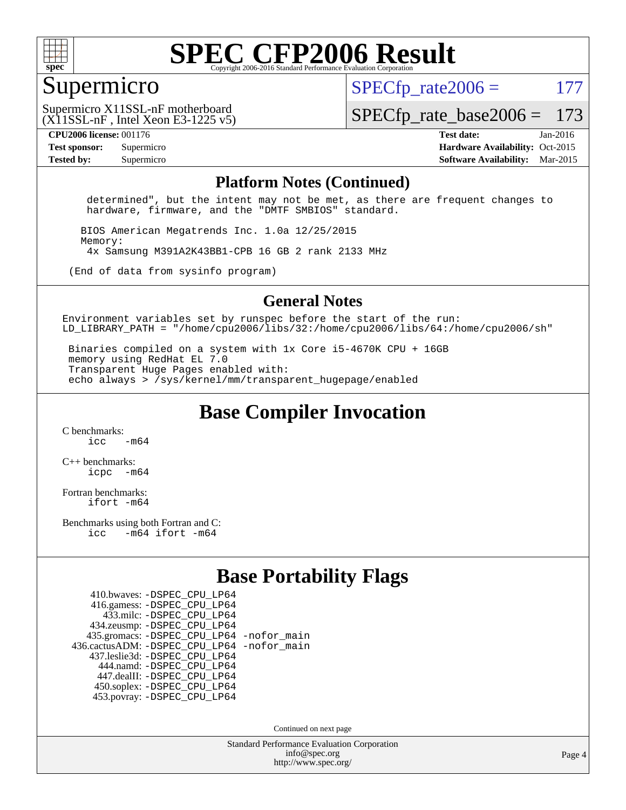

#### Supermicro

 $SPECTp\_rate2006 = 177$ 

(X11SSL-nF , Intel Xeon E3-1225 v5) Supermicro X11SSL-nF motherboard

[SPECfp\\_rate\\_base2006 =](http://www.spec.org/auto/cpu2006/Docs/result-fields.html#SPECfpratebase2006) 173

**[CPU2006 license:](http://www.spec.org/auto/cpu2006/Docs/result-fields.html#CPU2006license)** 001176 **[Test date:](http://www.spec.org/auto/cpu2006/Docs/result-fields.html#Testdate)** Jan-2016 **[Test sponsor:](http://www.spec.org/auto/cpu2006/Docs/result-fields.html#Testsponsor)** Supermicro Supermicro **[Hardware Availability:](http://www.spec.org/auto/cpu2006/Docs/result-fields.html#HardwareAvailability)** Oct-2015 **[Tested by:](http://www.spec.org/auto/cpu2006/Docs/result-fields.html#Testedby)** Supermicro **Supermicro [Software Availability:](http://www.spec.org/auto/cpu2006/Docs/result-fields.html#SoftwareAvailability)** Mar-2015

#### **[Platform Notes \(Continued\)](http://www.spec.org/auto/cpu2006/Docs/result-fields.html#PlatformNotes)**

 determined", but the intent may not be met, as there are frequent changes to hardware, firmware, and the "DMTF SMBIOS" standard.

 BIOS American Megatrends Inc. 1.0a 12/25/2015 Memory: 4x Samsung M391A2K43BB1-CPB 16 GB 2 rank 2133 MHz

(End of data from sysinfo program)

#### **[General Notes](http://www.spec.org/auto/cpu2006/Docs/result-fields.html#GeneralNotes)**

Environment variables set by runspec before the start of the run: LD LIBRARY PATH = "/home/cpu2006/libs/32:/home/cpu2006/libs/64:/home/cpu2006/sh"

 Binaries compiled on a system with 1x Core i5-4670K CPU + 16GB memory using RedHat EL 7.0 Transparent Huge Pages enabled with: echo always > /sys/kernel/mm/transparent\_hugepage/enabled

**[Base Compiler Invocation](http://www.spec.org/auto/cpu2006/Docs/result-fields.html#BaseCompilerInvocation)**

[C benchmarks](http://www.spec.org/auto/cpu2006/Docs/result-fields.html#Cbenchmarks):  $\frac{1}{2}$  cc  $-$  m64

[C++ benchmarks:](http://www.spec.org/auto/cpu2006/Docs/result-fields.html#CXXbenchmarks) [icpc -m64](http://www.spec.org/cpu2006/results/res2016q1/cpu2006-20160120-38724.flags.html#user_CXXbase_intel_icpc_64bit_bedb90c1146cab66620883ef4f41a67e)

[Fortran benchmarks](http://www.spec.org/auto/cpu2006/Docs/result-fields.html#Fortranbenchmarks): [ifort -m64](http://www.spec.org/cpu2006/results/res2016q1/cpu2006-20160120-38724.flags.html#user_FCbase_intel_ifort_64bit_ee9d0fb25645d0210d97eb0527dcc06e)

[Benchmarks using both Fortran and C](http://www.spec.org/auto/cpu2006/Docs/result-fields.html#BenchmarksusingbothFortranandC): [icc -m64](http://www.spec.org/cpu2006/results/res2016q1/cpu2006-20160120-38724.flags.html#user_CC_FCbase_intel_icc_64bit_0b7121f5ab7cfabee23d88897260401c) [ifort -m64](http://www.spec.org/cpu2006/results/res2016q1/cpu2006-20160120-38724.flags.html#user_CC_FCbase_intel_ifort_64bit_ee9d0fb25645d0210d97eb0527dcc06e)

#### **[Base Portability Flags](http://www.spec.org/auto/cpu2006/Docs/result-fields.html#BasePortabilityFlags)**

| 410.bwaves: - DSPEC CPU LP64                 |  |
|----------------------------------------------|--|
| 416.gamess: -DSPEC_CPU_LP64                  |  |
| 433.milc: -DSPEC CPU LP64                    |  |
| 434.zeusmp: -DSPEC_CPU_LP64                  |  |
| 435.gromacs: -DSPEC_CPU_LP64 -nofor_main     |  |
| 436.cactusADM: - DSPEC CPU LP64 - nofor main |  |
| 437.leslie3d: -DSPEC_CPU_LP64                |  |
| 444.namd: - DSPEC CPU LP64                   |  |
| 447.dealII: -DSPEC CPU LP64                  |  |
| 450.soplex: -DSPEC_CPU_LP64                  |  |
| 453.povray: -DSPEC CPU LP64                  |  |

Continued on next page

Standard Performance Evaluation Corporation [info@spec.org](mailto:info@spec.org) <http://www.spec.org/>

Page 4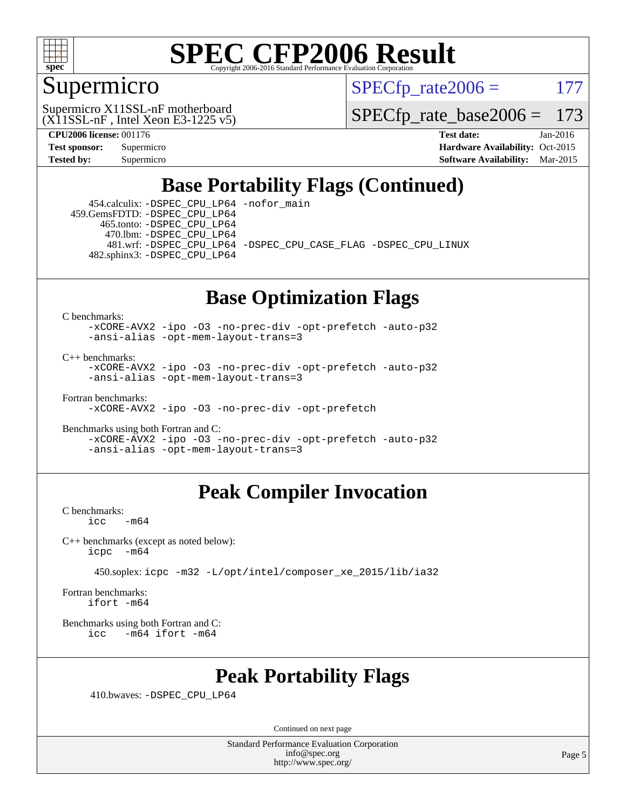

### Supermicro

 $SPECTp\_rate2006 = 177$ 

 $(X11SSL-nF,$  Intel Xeon E3-1225 v5) Supermicro X11SSL-nF motherboard

[SPECfp\\_rate\\_base2006 =](http://www.spec.org/auto/cpu2006/Docs/result-fields.html#SPECfpratebase2006) 173

**[CPU2006 license:](http://www.spec.org/auto/cpu2006/Docs/result-fields.html#CPU2006license)** 001176 **[Test date:](http://www.spec.org/auto/cpu2006/Docs/result-fields.html#Testdate)** Jan-2016 **[Test sponsor:](http://www.spec.org/auto/cpu2006/Docs/result-fields.html#Testsponsor)** Supermicro Supermicro **[Hardware Availability:](http://www.spec.org/auto/cpu2006/Docs/result-fields.html#HardwareAvailability)** Oct-2015 **[Tested by:](http://www.spec.org/auto/cpu2006/Docs/result-fields.html#Testedby)** Supermicro **[Software Availability:](http://www.spec.org/auto/cpu2006/Docs/result-fields.html#SoftwareAvailability)** Mar-2015

### **[Base Portability Flags \(Continued\)](http://www.spec.org/auto/cpu2006/Docs/result-fields.html#BasePortabilityFlags)**

 454.calculix: [-DSPEC\\_CPU\\_LP64](http://www.spec.org/cpu2006/results/res2016q1/cpu2006-20160120-38724.flags.html#suite_basePORTABILITY454_calculix_DSPEC_CPU_LP64) [-nofor\\_main](http://www.spec.org/cpu2006/results/res2016q1/cpu2006-20160120-38724.flags.html#user_baseLDPORTABILITY454_calculix_f-nofor_main) 459.GemsFDTD: [-DSPEC\\_CPU\\_LP64](http://www.spec.org/cpu2006/results/res2016q1/cpu2006-20160120-38724.flags.html#suite_basePORTABILITY459_GemsFDTD_DSPEC_CPU_LP64) 465.tonto: [-DSPEC\\_CPU\\_LP64](http://www.spec.org/cpu2006/results/res2016q1/cpu2006-20160120-38724.flags.html#suite_basePORTABILITY465_tonto_DSPEC_CPU_LP64) 470.lbm: [-DSPEC\\_CPU\\_LP64](http://www.spec.org/cpu2006/results/res2016q1/cpu2006-20160120-38724.flags.html#suite_basePORTABILITY470_lbm_DSPEC_CPU_LP64) 481.wrf: [-DSPEC\\_CPU\\_LP64](http://www.spec.org/cpu2006/results/res2016q1/cpu2006-20160120-38724.flags.html#suite_basePORTABILITY481_wrf_DSPEC_CPU_LP64) [-DSPEC\\_CPU\\_CASE\\_FLAG](http://www.spec.org/cpu2006/results/res2016q1/cpu2006-20160120-38724.flags.html#b481.wrf_baseCPORTABILITY_DSPEC_CPU_CASE_FLAG) [-DSPEC\\_CPU\\_LINUX](http://www.spec.org/cpu2006/results/res2016q1/cpu2006-20160120-38724.flags.html#b481.wrf_baseCPORTABILITY_DSPEC_CPU_LINUX) 482.sphinx3: [-DSPEC\\_CPU\\_LP64](http://www.spec.org/cpu2006/results/res2016q1/cpu2006-20160120-38724.flags.html#suite_basePORTABILITY482_sphinx3_DSPEC_CPU_LP64)

### **[Base Optimization Flags](http://www.spec.org/auto/cpu2006/Docs/result-fields.html#BaseOptimizationFlags)**

[C benchmarks](http://www.spec.org/auto/cpu2006/Docs/result-fields.html#Cbenchmarks):

[-xCORE-AVX2](http://www.spec.org/cpu2006/results/res2016q1/cpu2006-20160120-38724.flags.html#user_CCbase_f-xAVX2_5f5fc0cbe2c9f62c816d3e45806c70d7) [-ipo](http://www.spec.org/cpu2006/results/res2016q1/cpu2006-20160120-38724.flags.html#user_CCbase_f-ipo) [-O3](http://www.spec.org/cpu2006/results/res2016q1/cpu2006-20160120-38724.flags.html#user_CCbase_f-O3) [-no-prec-div](http://www.spec.org/cpu2006/results/res2016q1/cpu2006-20160120-38724.flags.html#user_CCbase_f-no-prec-div) [-opt-prefetch](http://www.spec.org/cpu2006/results/res2016q1/cpu2006-20160120-38724.flags.html#user_CCbase_f-opt-prefetch) [-auto-p32](http://www.spec.org/cpu2006/results/res2016q1/cpu2006-20160120-38724.flags.html#user_CCbase_f-auto-p32) [-ansi-alias](http://www.spec.org/cpu2006/results/res2016q1/cpu2006-20160120-38724.flags.html#user_CCbase_f-ansi-alias) [-opt-mem-layout-trans=3](http://www.spec.org/cpu2006/results/res2016q1/cpu2006-20160120-38724.flags.html#user_CCbase_f-opt-mem-layout-trans_a7b82ad4bd7abf52556d4961a2ae94d5)

[C++ benchmarks:](http://www.spec.org/auto/cpu2006/Docs/result-fields.html#CXXbenchmarks)

[-xCORE-AVX2](http://www.spec.org/cpu2006/results/res2016q1/cpu2006-20160120-38724.flags.html#user_CXXbase_f-xAVX2_5f5fc0cbe2c9f62c816d3e45806c70d7) [-ipo](http://www.spec.org/cpu2006/results/res2016q1/cpu2006-20160120-38724.flags.html#user_CXXbase_f-ipo) [-O3](http://www.spec.org/cpu2006/results/res2016q1/cpu2006-20160120-38724.flags.html#user_CXXbase_f-O3) [-no-prec-div](http://www.spec.org/cpu2006/results/res2016q1/cpu2006-20160120-38724.flags.html#user_CXXbase_f-no-prec-div) [-opt-prefetch](http://www.spec.org/cpu2006/results/res2016q1/cpu2006-20160120-38724.flags.html#user_CXXbase_f-opt-prefetch) [-auto-p32](http://www.spec.org/cpu2006/results/res2016q1/cpu2006-20160120-38724.flags.html#user_CXXbase_f-auto-p32) [-ansi-alias](http://www.spec.org/cpu2006/results/res2016q1/cpu2006-20160120-38724.flags.html#user_CXXbase_f-ansi-alias) [-opt-mem-layout-trans=3](http://www.spec.org/cpu2006/results/res2016q1/cpu2006-20160120-38724.flags.html#user_CXXbase_f-opt-mem-layout-trans_a7b82ad4bd7abf52556d4961a2ae94d5)

[Fortran benchmarks](http://www.spec.org/auto/cpu2006/Docs/result-fields.html#Fortranbenchmarks):

[-xCORE-AVX2](http://www.spec.org/cpu2006/results/res2016q1/cpu2006-20160120-38724.flags.html#user_FCbase_f-xAVX2_5f5fc0cbe2c9f62c816d3e45806c70d7) [-ipo](http://www.spec.org/cpu2006/results/res2016q1/cpu2006-20160120-38724.flags.html#user_FCbase_f-ipo) [-O3](http://www.spec.org/cpu2006/results/res2016q1/cpu2006-20160120-38724.flags.html#user_FCbase_f-O3) [-no-prec-div](http://www.spec.org/cpu2006/results/res2016q1/cpu2006-20160120-38724.flags.html#user_FCbase_f-no-prec-div) [-opt-prefetch](http://www.spec.org/cpu2006/results/res2016q1/cpu2006-20160120-38724.flags.html#user_FCbase_f-opt-prefetch)

[Benchmarks using both Fortran and C](http://www.spec.org/auto/cpu2006/Docs/result-fields.html#BenchmarksusingbothFortranandC): [-xCORE-AVX2](http://www.spec.org/cpu2006/results/res2016q1/cpu2006-20160120-38724.flags.html#user_CC_FCbase_f-xAVX2_5f5fc0cbe2c9f62c816d3e45806c70d7) [-ipo](http://www.spec.org/cpu2006/results/res2016q1/cpu2006-20160120-38724.flags.html#user_CC_FCbase_f-ipo) [-O3](http://www.spec.org/cpu2006/results/res2016q1/cpu2006-20160120-38724.flags.html#user_CC_FCbase_f-O3) [-no-prec-div](http://www.spec.org/cpu2006/results/res2016q1/cpu2006-20160120-38724.flags.html#user_CC_FCbase_f-no-prec-div) [-opt-prefetch](http://www.spec.org/cpu2006/results/res2016q1/cpu2006-20160120-38724.flags.html#user_CC_FCbase_f-opt-prefetch) [-auto-p32](http://www.spec.org/cpu2006/results/res2016q1/cpu2006-20160120-38724.flags.html#user_CC_FCbase_f-auto-p32) [-ansi-alias](http://www.spec.org/cpu2006/results/res2016q1/cpu2006-20160120-38724.flags.html#user_CC_FCbase_f-ansi-alias) [-opt-mem-layout-trans=3](http://www.spec.org/cpu2006/results/res2016q1/cpu2006-20160120-38724.flags.html#user_CC_FCbase_f-opt-mem-layout-trans_a7b82ad4bd7abf52556d4961a2ae94d5)

### **[Peak Compiler Invocation](http://www.spec.org/auto/cpu2006/Docs/result-fields.html#PeakCompilerInvocation)**

[C benchmarks](http://www.spec.org/auto/cpu2006/Docs/result-fields.html#Cbenchmarks):  $-m64$ 

[C++ benchmarks \(except as noted below\):](http://www.spec.org/auto/cpu2006/Docs/result-fields.html#CXXbenchmarksexceptasnotedbelow) [icpc -m64](http://www.spec.org/cpu2006/results/res2016q1/cpu2006-20160120-38724.flags.html#user_CXXpeak_intel_icpc_64bit_bedb90c1146cab66620883ef4f41a67e)

450.soplex: [icpc -m32 -L/opt/intel/composer\\_xe\\_2015/lib/ia32](http://www.spec.org/cpu2006/results/res2016q1/cpu2006-20160120-38724.flags.html#user_peakCXXLD450_soplex_intel_icpc_c2c99686a1a582c3e0de0b4806b02cea)

[Fortran benchmarks](http://www.spec.org/auto/cpu2006/Docs/result-fields.html#Fortranbenchmarks): [ifort -m64](http://www.spec.org/cpu2006/results/res2016q1/cpu2006-20160120-38724.flags.html#user_FCpeak_intel_ifort_64bit_ee9d0fb25645d0210d97eb0527dcc06e)

[Benchmarks using both Fortran and C](http://www.spec.org/auto/cpu2006/Docs/result-fields.html#BenchmarksusingbothFortranandC): [icc -m64](http://www.spec.org/cpu2006/results/res2016q1/cpu2006-20160120-38724.flags.html#user_CC_FCpeak_intel_icc_64bit_0b7121f5ab7cfabee23d88897260401c) [ifort -m64](http://www.spec.org/cpu2006/results/res2016q1/cpu2006-20160120-38724.flags.html#user_CC_FCpeak_intel_ifort_64bit_ee9d0fb25645d0210d97eb0527dcc06e)

### **[Peak Portability Flags](http://www.spec.org/auto/cpu2006/Docs/result-fields.html#PeakPortabilityFlags)**

410.bwaves: [-DSPEC\\_CPU\\_LP64](http://www.spec.org/cpu2006/results/res2016q1/cpu2006-20160120-38724.flags.html#suite_peakPORTABILITY410_bwaves_DSPEC_CPU_LP64)

Continued on next page

Standard Performance Evaluation Corporation [info@spec.org](mailto:info@spec.org) <http://www.spec.org/>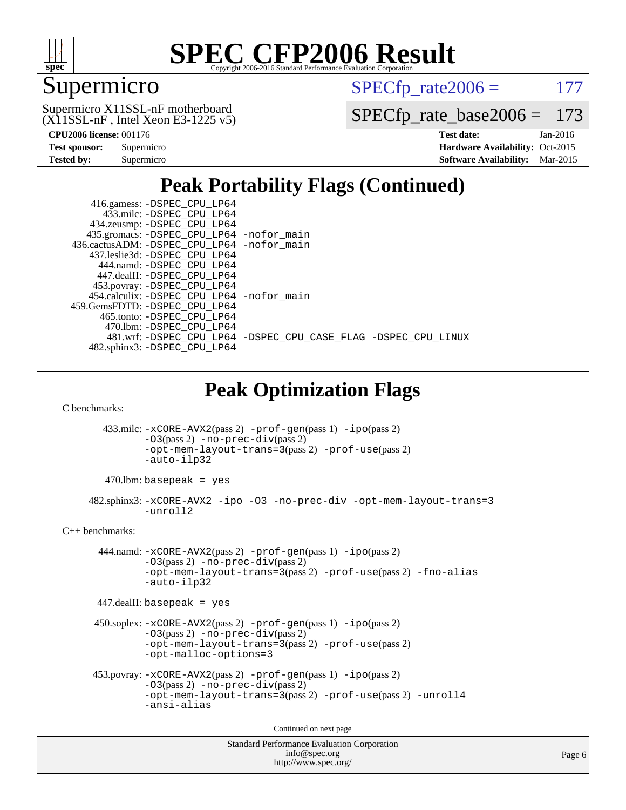

## Supermicro

 $SPECTp_rate2006 = 177$ 

 $(X11SSL-nF,$  Intel Xeon E3-1225 v5) Supermicro X11SSL-nF motherboard

[SPECfp\\_rate\\_base2006 =](http://www.spec.org/auto/cpu2006/Docs/result-fields.html#SPECfpratebase2006) 173

| Test sponsor:     | Supermicro |
|-------------------|------------|
| <b>Tested by:</b> | Supermicro |

**[CPU2006 license:](http://www.spec.org/auto/cpu2006/Docs/result-fields.html#CPU2006license)** 001176 **[Test date:](http://www.spec.org/auto/cpu2006/Docs/result-fields.html#Testdate)** Jan-2016 **[Hardware Availability:](http://www.spec.org/auto/cpu2006/Docs/result-fields.html#HardwareAvailability)** Oct-2015 **[Software Availability:](http://www.spec.org/auto/cpu2006/Docs/result-fields.html#SoftwareAvailability)** Mar-2015

### **[Peak Portability Flags \(Continued\)](http://www.spec.org/auto/cpu2006/Docs/result-fields.html#PeakPortabilityFlags)**

|                                                                                    | 416.gamess: -DSPEC_CPU_LP64                                                            |  |  |  |  |  |
|------------------------------------------------------------------------------------|----------------------------------------------------------------------------------------|--|--|--|--|--|
|                                                                                    | 433.milc: -DSPEC_CPU_LP64<br>434.zeusmp: -DSPEC_CPU_LP64                               |  |  |  |  |  |
|                                                                                    |                                                                                        |  |  |  |  |  |
|                                                                                    | 435.gromacs: -DSPEC_CPU_LP64 -nofor_main<br>436.cactusADM: -DSPEC_CPU_LP64 -nofor_main |  |  |  |  |  |
|                                                                                    | 437.leslie3d: -DSPEC_CPU_LP64                                                          |  |  |  |  |  |
|                                                                                    | 444.namd: - DSPEC_CPU_LP64                                                             |  |  |  |  |  |
|                                                                                    | 447.dealII: -DSPEC_CPU_LP64                                                            |  |  |  |  |  |
|                                                                                    | 453.povray: -DSPEC_CPU_LP64                                                            |  |  |  |  |  |
|                                                                                    | 454.calculix: -DSPEC_CPU_LP64 -nofor_main                                              |  |  |  |  |  |
|                                                                                    | 459.GemsFDTD: - DSPEC_CPU_LP64                                                         |  |  |  |  |  |
|                                                                                    | 465.tonto: -DSPEC_CPU_LP64                                                             |  |  |  |  |  |
|                                                                                    | 470.1bm: -DSPEC_CPU_LP64                                                               |  |  |  |  |  |
|                                                                                    | 481.wrf: -DSPEC_CPU_LP64 -DSPEC_CPU_CASE_FLAG -DSPEC_CPU_LINUX                         |  |  |  |  |  |
|                                                                                    | 482.sphinx3: -DSPEC_CPU_LP64                                                           |  |  |  |  |  |
|                                                                                    |                                                                                        |  |  |  |  |  |
|                                                                                    | <b>Peak Optimization Flags</b>                                                         |  |  |  |  |  |
| C benchmarks:                                                                      |                                                                                        |  |  |  |  |  |
|                                                                                    | 433.milc: -xCORE-AVX2(pass 2) -prof-gen(pass 1) -ipo(pass 2)                           |  |  |  |  |  |
|                                                                                    | -03(pass 2) -no-prec-div(pass 2)                                                       |  |  |  |  |  |
|                                                                                    | -opt-mem-layout-trans=3(pass 2) -prof-use(pass 2)                                      |  |  |  |  |  |
|                                                                                    | -auto-ilp32                                                                            |  |  |  |  |  |
|                                                                                    | $470$ .lbm: basepeak = yes                                                             |  |  |  |  |  |
| 482.sphinx3: -xCORE-AVX2 -ipo -03 -no-prec-div -opt-mem-layout-trans=3<br>-unroll2 |                                                                                        |  |  |  |  |  |
| $C_{++}$ benchmarks:                                                               |                                                                                        |  |  |  |  |  |
|                                                                                    | 444.namd: -xCORE-AVX2(pass 2) -prof-gen(pass 1) -ipo(pass 2)                           |  |  |  |  |  |
| -03(pass 2) -no-prec-div(pass 2)                                                   |                                                                                        |  |  |  |  |  |
| -opt-mem-layout-trans=3(pass 2) -prof-use(pass 2) -fno-alias                       |                                                                                        |  |  |  |  |  |
| -auto-ilp32                                                                        |                                                                                        |  |  |  |  |  |
|                                                                                    | $447$ .dealII: basepeak = yes                                                          |  |  |  |  |  |
|                                                                                    |                                                                                        |  |  |  |  |  |
|                                                                                    | 450.soplex: -xCORE-AVX2(pass 2) -prof-gen(pass 1) -ipo(pass 2)                         |  |  |  |  |  |
|                                                                                    | $-03(pass 2)$ -no-prec-div(pass 2)                                                     |  |  |  |  |  |
|                                                                                    | -opt-mem-layout-trans=3(pass 2) -prof-use(pass 2)                                      |  |  |  |  |  |
|                                                                                    | -opt-malloc-options=3                                                                  |  |  |  |  |  |
|                                                                                    | 453.povray: -xCORE-AVX2(pass 2) -prof-gen(pass 1) -ipo(pass 2)                         |  |  |  |  |  |
|                                                                                    | -03(pass 2) -no-prec-div(pass 2)                                                       |  |  |  |  |  |
|                                                                                    | -opt-mem-layout-trans=3(pass 2) -prof-use(pass 2) -unroll4                             |  |  |  |  |  |
|                                                                                    | -ansi-alias                                                                            |  |  |  |  |  |
|                                                                                    |                                                                                        |  |  |  |  |  |
|                                                                                    | Continued on next page                                                                 |  |  |  |  |  |
|                                                                                    | <b>Standard Performance Evaluation Corporation</b>                                     |  |  |  |  |  |
|                                                                                    | info@spec.org                                                                          |  |  |  |  |  |

<http://www.spec.org/>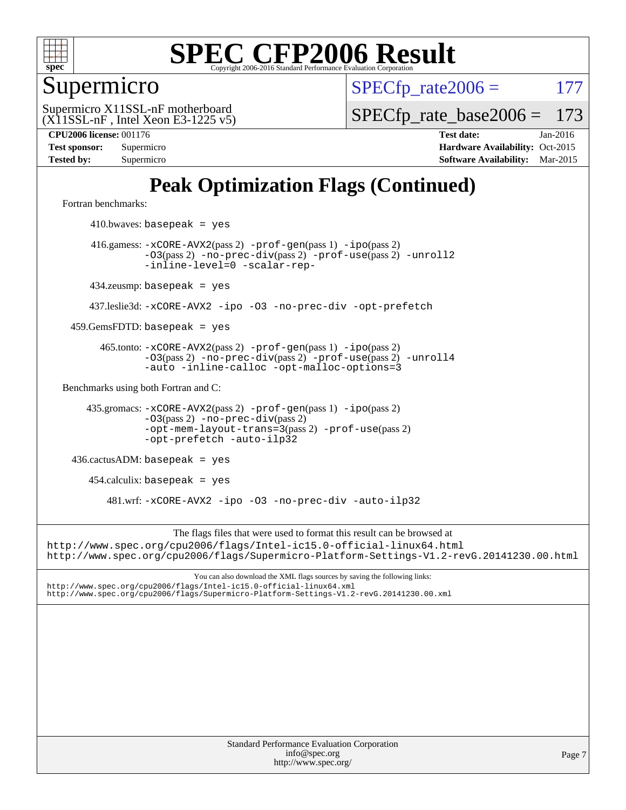

Supermicro

 $SPECTp\_rate2006 = 177$ 

 $(X11SSL-nF,$  Intel Xeon E3-1225 v5) Supermicro X11SSL-nF motherboard

[SPECfp\\_rate\\_base2006 =](http://www.spec.org/auto/cpu2006/Docs/result-fields.html#SPECfpratebase2006) 173

**[CPU2006 license:](http://www.spec.org/auto/cpu2006/Docs/result-fields.html#CPU2006license)** 001176 **[Test date:](http://www.spec.org/auto/cpu2006/Docs/result-fields.html#Testdate)** Jan-2016 **[Test sponsor:](http://www.spec.org/auto/cpu2006/Docs/result-fields.html#Testsponsor)** Supermicro Supermicro **[Hardware Availability:](http://www.spec.org/auto/cpu2006/Docs/result-fields.html#HardwareAvailability)** Oct-2015 **[Tested by:](http://www.spec.org/auto/cpu2006/Docs/result-fields.html#Testedby)** Supermicro **[Software Availability:](http://www.spec.org/auto/cpu2006/Docs/result-fields.html#SoftwareAvailability)** Mar-2015

### **[Peak Optimization Flags \(Continued\)](http://www.spec.org/auto/cpu2006/Docs/result-fields.html#PeakOptimizationFlags)**

[Fortran benchmarks](http://www.spec.org/auto/cpu2006/Docs/result-fields.html#Fortranbenchmarks):

 $410.bwaves: basepeak = yes$  416.gamess: [-xCORE-AVX2](http://www.spec.org/cpu2006/results/res2016q1/cpu2006-20160120-38724.flags.html#user_peakPASS2_FFLAGSPASS2_LDFLAGS416_gamess_f-xAVX2_5f5fc0cbe2c9f62c816d3e45806c70d7)(pass 2) [-prof-gen](http://www.spec.org/cpu2006/results/res2016q1/cpu2006-20160120-38724.flags.html#user_peakPASS1_FFLAGSPASS1_LDFLAGS416_gamess_prof_gen_e43856698f6ca7b7e442dfd80e94a8fc)(pass 1) [-ipo](http://www.spec.org/cpu2006/results/res2016q1/cpu2006-20160120-38724.flags.html#user_peakPASS2_FFLAGSPASS2_LDFLAGS416_gamess_f-ipo)(pass 2) [-O3](http://www.spec.org/cpu2006/results/res2016q1/cpu2006-20160120-38724.flags.html#user_peakPASS2_FFLAGSPASS2_LDFLAGS416_gamess_f-O3)(pass 2) [-no-prec-div](http://www.spec.org/cpu2006/results/res2016q1/cpu2006-20160120-38724.flags.html#user_peakPASS2_FFLAGSPASS2_LDFLAGS416_gamess_f-no-prec-div)(pass 2) [-prof-use](http://www.spec.org/cpu2006/results/res2016q1/cpu2006-20160120-38724.flags.html#user_peakPASS2_FFLAGSPASS2_LDFLAGS416_gamess_prof_use_bccf7792157ff70d64e32fe3e1250b55)(pass 2) [-unroll2](http://www.spec.org/cpu2006/results/res2016q1/cpu2006-20160120-38724.flags.html#user_peakOPTIMIZE416_gamess_f-unroll_784dae83bebfb236979b41d2422d7ec2) [-inline-level=0](http://www.spec.org/cpu2006/results/res2016q1/cpu2006-20160120-38724.flags.html#user_peakOPTIMIZE416_gamess_f-inline-level_318d07a09274ad25e8d15dbfaa68ba50) [-scalar-rep-](http://www.spec.org/cpu2006/results/res2016q1/cpu2006-20160120-38724.flags.html#user_peakOPTIMIZE416_gamess_f-disablescalarrep_abbcad04450fb118e4809c81d83c8a1d) 434.zeusmp: basepeak = yes 437.leslie3d: [-xCORE-AVX2](http://www.spec.org/cpu2006/results/res2016q1/cpu2006-20160120-38724.flags.html#user_peakOPTIMIZE437_leslie3d_f-xAVX2_5f5fc0cbe2c9f62c816d3e45806c70d7) [-ipo](http://www.spec.org/cpu2006/results/res2016q1/cpu2006-20160120-38724.flags.html#user_peakOPTIMIZE437_leslie3d_f-ipo) [-O3](http://www.spec.org/cpu2006/results/res2016q1/cpu2006-20160120-38724.flags.html#user_peakOPTIMIZE437_leslie3d_f-O3) [-no-prec-div](http://www.spec.org/cpu2006/results/res2016q1/cpu2006-20160120-38724.flags.html#user_peakOPTIMIZE437_leslie3d_f-no-prec-div) [-opt-prefetch](http://www.spec.org/cpu2006/results/res2016q1/cpu2006-20160120-38724.flags.html#user_peakOPTIMIZE437_leslie3d_f-opt-prefetch)  $459.GemsFDTD: basepeak = yes$  465.tonto: [-xCORE-AVX2](http://www.spec.org/cpu2006/results/res2016q1/cpu2006-20160120-38724.flags.html#user_peakPASS2_FFLAGSPASS2_LDFLAGS465_tonto_f-xAVX2_5f5fc0cbe2c9f62c816d3e45806c70d7)(pass 2) [-prof-gen](http://www.spec.org/cpu2006/results/res2016q1/cpu2006-20160120-38724.flags.html#user_peakPASS1_FFLAGSPASS1_LDFLAGS465_tonto_prof_gen_e43856698f6ca7b7e442dfd80e94a8fc)(pass 1) [-ipo](http://www.spec.org/cpu2006/results/res2016q1/cpu2006-20160120-38724.flags.html#user_peakPASS2_FFLAGSPASS2_LDFLAGS465_tonto_f-ipo)(pass 2) [-O3](http://www.spec.org/cpu2006/results/res2016q1/cpu2006-20160120-38724.flags.html#user_peakPASS2_FFLAGSPASS2_LDFLAGS465_tonto_f-O3)(pass 2) [-no-prec-div](http://www.spec.org/cpu2006/results/res2016q1/cpu2006-20160120-38724.flags.html#user_peakPASS2_FFLAGSPASS2_LDFLAGS465_tonto_f-no-prec-div)(pass 2) [-prof-use](http://www.spec.org/cpu2006/results/res2016q1/cpu2006-20160120-38724.flags.html#user_peakPASS2_FFLAGSPASS2_LDFLAGS465_tonto_prof_use_bccf7792157ff70d64e32fe3e1250b55)(pass 2) [-unroll4](http://www.spec.org/cpu2006/results/res2016q1/cpu2006-20160120-38724.flags.html#user_peakOPTIMIZE465_tonto_f-unroll_4e5e4ed65b7fd20bdcd365bec371b81f) [-auto](http://www.spec.org/cpu2006/results/res2016q1/cpu2006-20160120-38724.flags.html#user_peakOPTIMIZE465_tonto_f-auto) [-inline-calloc](http://www.spec.org/cpu2006/results/res2016q1/cpu2006-20160120-38724.flags.html#user_peakOPTIMIZE465_tonto_f-inline-calloc) [-opt-malloc-options=3](http://www.spec.org/cpu2006/results/res2016q1/cpu2006-20160120-38724.flags.html#user_peakOPTIMIZE465_tonto_f-opt-malloc-options_13ab9b803cf986b4ee62f0a5998c2238) [Benchmarks using both Fortran and C](http://www.spec.org/auto/cpu2006/Docs/result-fields.html#BenchmarksusingbothFortranandC): 435.gromacs: [-xCORE-AVX2](http://www.spec.org/cpu2006/results/res2016q1/cpu2006-20160120-38724.flags.html#user_peakPASS2_CFLAGSPASS2_FFLAGSPASS2_LDFLAGS435_gromacs_f-xAVX2_5f5fc0cbe2c9f62c816d3e45806c70d7)(pass 2) [-prof-gen](http://www.spec.org/cpu2006/results/res2016q1/cpu2006-20160120-38724.flags.html#user_peakPASS1_CFLAGSPASS1_FFLAGSPASS1_LDFLAGS435_gromacs_prof_gen_e43856698f6ca7b7e442dfd80e94a8fc)(pass 1) [-ipo](http://www.spec.org/cpu2006/results/res2016q1/cpu2006-20160120-38724.flags.html#user_peakPASS2_CFLAGSPASS2_FFLAGSPASS2_LDFLAGS435_gromacs_f-ipo)(pass 2) [-O3](http://www.spec.org/cpu2006/results/res2016q1/cpu2006-20160120-38724.flags.html#user_peakPASS2_CFLAGSPASS2_FFLAGSPASS2_LDFLAGS435_gromacs_f-O3)(pass 2) [-no-prec-div](http://www.spec.org/cpu2006/results/res2016q1/cpu2006-20160120-38724.flags.html#user_peakPASS2_CFLAGSPASS2_FFLAGSPASS2_LDFLAGS435_gromacs_f-no-prec-div)(pass 2) [-opt-mem-layout-trans=3](http://www.spec.org/cpu2006/results/res2016q1/cpu2006-20160120-38724.flags.html#user_peakPASS2_CFLAGS435_gromacs_f-opt-mem-layout-trans_a7b82ad4bd7abf52556d4961a2ae94d5)(pass 2) [-prof-use](http://www.spec.org/cpu2006/results/res2016q1/cpu2006-20160120-38724.flags.html#user_peakPASS2_CFLAGSPASS2_FFLAGSPASS2_LDFLAGS435_gromacs_prof_use_bccf7792157ff70d64e32fe3e1250b55)(pass 2) [-opt-prefetch](http://www.spec.org/cpu2006/results/res2016q1/cpu2006-20160120-38724.flags.html#user_peakOPTIMIZE435_gromacs_f-opt-prefetch) [-auto-ilp32](http://www.spec.org/cpu2006/results/res2016q1/cpu2006-20160120-38724.flags.html#user_peakCOPTIMIZE435_gromacs_f-auto-ilp32) 436.cactusADM: basepeak = yes  $454$ .calculix: basepeak = yes 481.wrf: [-xCORE-AVX2](http://www.spec.org/cpu2006/results/res2016q1/cpu2006-20160120-38724.flags.html#user_peakOPTIMIZE481_wrf_f-xAVX2_5f5fc0cbe2c9f62c816d3e45806c70d7) [-ipo](http://www.spec.org/cpu2006/results/res2016q1/cpu2006-20160120-38724.flags.html#user_peakOPTIMIZE481_wrf_f-ipo) [-O3](http://www.spec.org/cpu2006/results/res2016q1/cpu2006-20160120-38724.flags.html#user_peakOPTIMIZE481_wrf_f-O3) [-no-prec-div](http://www.spec.org/cpu2006/results/res2016q1/cpu2006-20160120-38724.flags.html#user_peakOPTIMIZE481_wrf_f-no-prec-div) [-auto-ilp32](http://www.spec.org/cpu2006/results/res2016q1/cpu2006-20160120-38724.flags.html#user_peakCOPTIMIZE481_wrf_f-auto-ilp32) The flags files that were used to format this result can be browsed at <http://www.spec.org/cpu2006/flags/Intel-ic15.0-official-linux64.html> <http://www.spec.org/cpu2006/flags/Supermicro-Platform-Settings-V1.2-revG.20141230.00.html> You can also download the XML flags sources by saving the following links: <http://www.spec.org/cpu2006/flags/Intel-ic15.0-official-linux64.xml> <http://www.spec.org/cpu2006/flags/Supermicro-Platform-Settings-V1.2-revG.20141230.00.xml>

> Standard Performance Evaluation Corporation [info@spec.org](mailto:info@spec.org) <http://www.spec.org/>